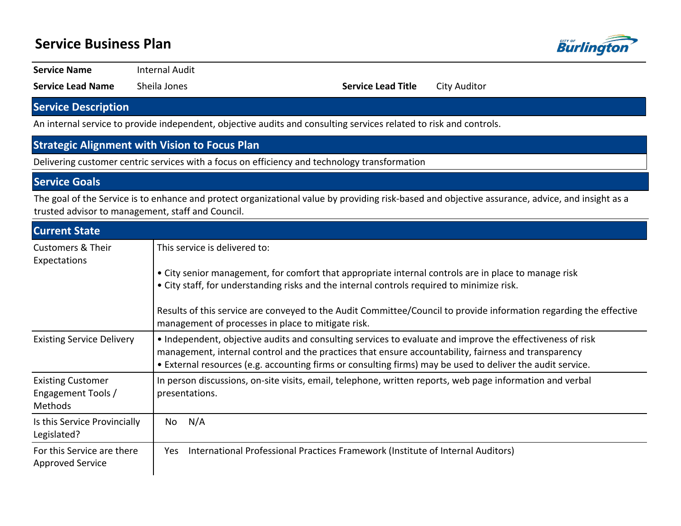| <b>Service Business Plan</b>                              |                                                                                                                                                                                                                                                                                                                                 |                           |                                                                                                                    |  |  |
|-----------------------------------------------------------|---------------------------------------------------------------------------------------------------------------------------------------------------------------------------------------------------------------------------------------------------------------------------------------------------------------------------------|---------------------------|--------------------------------------------------------------------------------------------------------------------|--|--|
| <b>Service Name</b>                                       | <b>Internal Audit</b>                                                                                                                                                                                                                                                                                                           |                           |                                                                                                                    |  |  |
| <b>Service Lead Name</b>                                  | Sheila Jones                                                                                                                                                                                                                                                                                                                    | <b>Service Lead Title</b> | <b>City Auditor</b>                                                                                                |  |  |
| <b>Service Description</b>                                |                                                                                                                                                                                                                                                                                                                                 |                           |                                                                                                                    |  |  |
|                                                           | An internal service to provide independent, objective audits and consulting services related to risk and controls.                                                                                                                                                                                                              |                           |                                                                                                                    |  |  |
|                                                           | <b>Strategic Alignment with Vision to Focus Plan</b>                                                                                                                                                                                                                                                                            |                           |                                                                                                                    |  |  |
|                                                           | Delivering customer centric services with a focus on efficiency and technology transformation                                                                                                                                                                                                                                   |                           |                                                                                                                    |  |  |
| <b>Service Goals</b>                                      |                                                                                                                                                                                                                                                                                                                                 |                           |                                                                                                                    |  |  |
|                                                           | The goal of the Service is to enhance and protect organizational value by providing risk-based and objective assurance, advice, and insight as a<br>trusted advisor to management, staff and Council.                                                                                                                           |                           |                                                                                                                    |  |  |
| <b>Current State</b>                                      |                                                                                                                                                                                                                                                                                                                                 |                           |                                                                                                                    |  |  |
| <b>Customers &amp; Their</b><br>Expectations              | This service is delivered to:                                                                                                                                                                                                                                                                                                   |                           |                                                                                                                    |  |  |
|                                                           | • City senior management, for comfort that appropriate internal controls are in place to manage risk<br>• City staff, for understanding risks and the internal controls required to minimize risk.                                                                                                                              |                           |                                                                                                                    |  |  |
|                                                           | management of processes in place to mitigate risk.                                                                                                                                                                                                                                                                              |                           | Results of this service are conveyed to the Audit Committee/Council to provide information regarding the effective |  |  |
| <b>Existing Service Delivery</b>                          | • Independent, objective audits and consulting services to evaluate and improve the effectiveness of risk<br>management, internal control and the practices that ensure accountability, fairness and transparency<br>• External resources (e.g. accounting firms or consulting firms) may be used to deliver the audit service. |                           |                                                                                                                    |  |  |
| <b>Existing Customer</b><br>Engagement Tools /<br>Methods | In person discussions, on-site visits, email, telephone, written reports, web page information and verbal<br>presentations.                                                                                                                                                                                                     |                           |                                                                                                                    |  |  |
| Is this Service Provincially<br>Legislated?               | N/A<br>No.                                                                                                                                                                                                                                                                                                                      |                           |                                                                                                                    |  |  |
| For this Service are there<br><b>Approved Service</b>     | International Professional Practices Framework (Institute of Internal Auditors)<br>Yes                                                                                                                                                                                                                                          |                           |                                                                                                                    |  |  |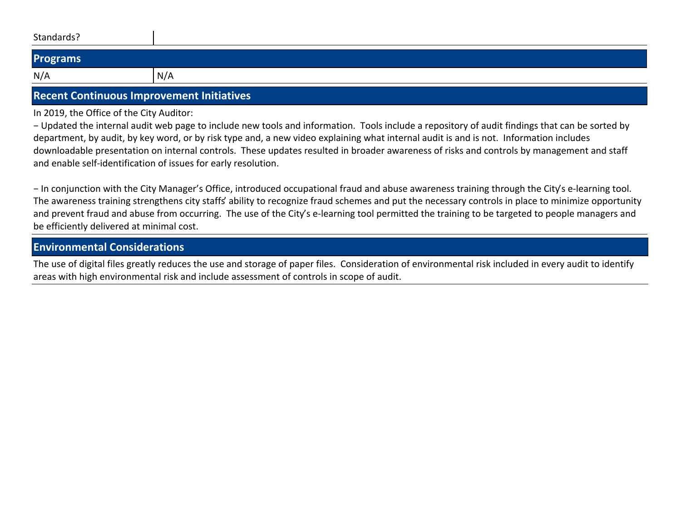| Standards? |     |
|------------|-----|
| Programs   |     |
| N/A        | N/A |

## **Recent Continuous Improvement Initiatives**

In 2019, the Office of the City Auditor:

– Updated the internal audit web page to include new tools and information. Tools include a repository of audit findings that can be sorted by department, by audit, by key word, or by risk type and, a new video explaining what internal audit is and is not. Information includes downloadable presentation on internal controls. These updates resulted in broader awareness of risks and controls by management and staff and enable self-identification of issues for early resolution.

- In conjunction with the City Manager's Office, introduced occupational fraud and abuse awareness training through the City's e-learning tool. The awareness training strengthens city staffs' ability to recognize fraud schemes and put the necessary controls in place to minimize opportunity and prevent fraud and abuse from occurring. The use of the City's e-learning tool permitted the training to be targeted to people managers and be efficiently delivered at minimal cost.

## **Environmental Considerations**

The use of digital files greatly reduces the use and storage of paper files. Consideration of environmental risk included in every audit to identify areas with high environmental risk and include assessment of controls in scope of audit.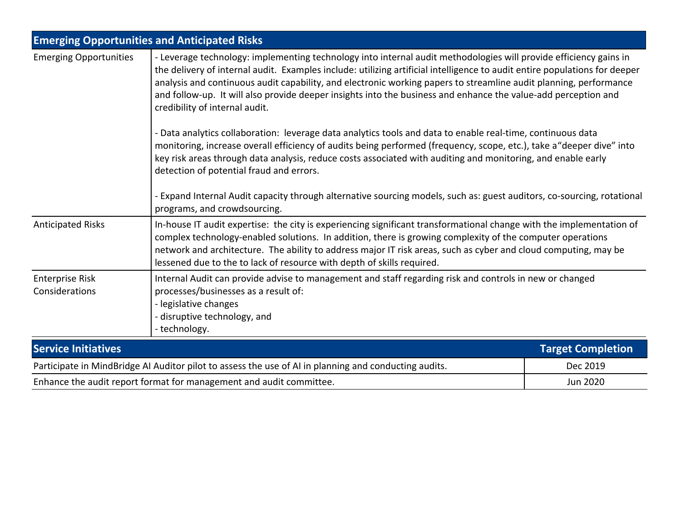|                                                                                                                                                                                                                                                                                                                                                                                                                                                                                                                                                           | <b>Emerging Opportunities and Anticipated Risks</b>                                                                                                                                                                                                                                                                                                                                                                            |                          |  |  |
|-----------------------------------------------------------------------------------------------------------------------------------------------------------------------------------------------------------------------------------------------------------------------------------------------------------------------------------------------------------------------------------------------------------------------------------------------------------------------------------------------------------------------------------------------------------|--------------------------------------------------------------------------------------------------------------------------------------------------------------------------------------------------------------------------------------------------------------------------------------------------------------------------------------------------------------------------------------------------------------------------------|--------------------------|--|--|
| <b>Emerging Opportunities</b><br>- Leverage technology: implementing technology into internal audit methodologies will provide efficiency gains in<br>the delivery of internal audit. Examples include: utilizing artificial intelligence to audit entire populations for deeper<br>analysis and continuous audit capability, and electronic working papers to streamline audit planning, performance<br>and follow-up. It will also provide deeper insights into the business and enhance the value-add perception and<br>credibility of internal audit. |                                                                                                                                                                                                                                                                                                                                                                                                                                |                          |  |  |
|                                                                                                                                                                                                                                                                                                                                                                                                                                                                                                                                                           | - Data analytics collaboration: leverage data analytics tools and data to enable real-time, continuous data<br>monitoring, increase overall efficiency of audits being performed (frequency, scope, etc.), take a "deeper dive" into<br>key risk areas through data analysis, reduce costs associated with auditing and monitoring, and enable early<br>detection of potential fraud and errors.                               |                          |  |  |
|                                                                                                                                                                                                                                                                                                                                                                                                                                                                                                                                                           | - Expand Internal Audit capacity through alternative sourcing models, such as: guest auditors, co-sourcing, rotational<br>programs, and crowdsourcing.                                                                                                                                                                                                                                                                         |                          |  |  |
| <b>Anticipated Risks</b>                                                                                                                                                                                                                                                                                                                                                                                                                                                                                                                                  | In-house IT audit expertise: the city is experiencing significant transformational change with the implementation of<br>complex technology-enabled solutions. In addition, there is growing complexity of the computer operations<br>network and architecture. The ability to address major IT risk areas, such as cyber and cloud computing, may be<br>lessened due to the to lack of resource with depth of skills required. |                          |  |  |
| <b>Enterprise Risk</b><br>Considerations                                                                                                                                                                                                                                                                                                                                                                                                                                                                                                                  | Internal Audit can provide advise to management and staff regarding risk and controls in new or changed<br>processes/businesses as a result of:<br>- legislative changes<br>- disruptive technology, and<br>- technology.                                                                                                                                                                                                      |                          |  |  |
| <b>Service Initiatives</b>                                                                                                                                                                                                                                                                                                                                                                                                                                                                                                                                |                                                                                                                                                                                                                                                                                                                                                                                                                                | <b>Target Completion</b> |  |  |
|                                                                                                                                                                                                                                                                                                                                                                                                                                                                                                                                                           | Participate in MindBridge AI Auditor pilot to assess the use of AI in planning and conducting audits.                                                                                                                                                                                                                                                                                                                          | Dec 2019                 |  |  |

Enhance the audit report format for management and audit committee.<br> **Enhance the audit report format for management and audit committee.**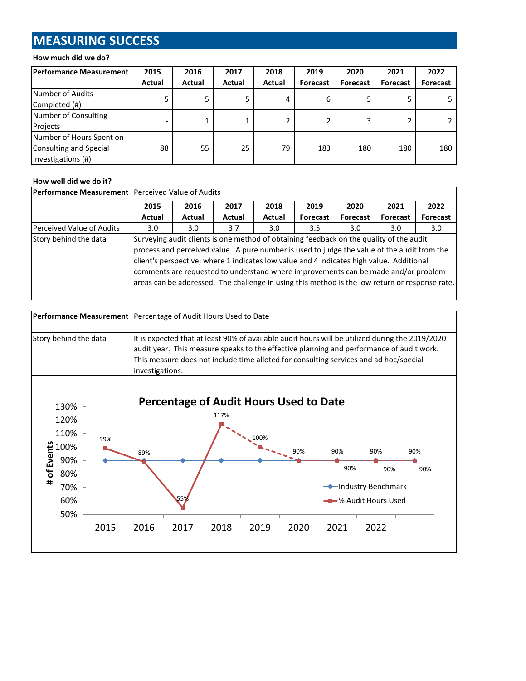# **MEASURING SUCCESS**

### **How much did we do?**

| Performance Measurement                                                  | 2015          | 2016   | 2017   | 2018   | 2019            | 2020            | 2021            | 2022            |
|--------------------------------------------------------------------------|---------------|--------|--------|--------|-----------------|-----------------|-----------------|-----------------|
|                                                                          | <b>Actual</b> | Actual | Actual | Actual | <b>Forecast</b> | <b>Forecast</b> | <b>Forecast</b> | <b>Forecast</b> |
| Number of Audits<br>Completed (#)                                        |               |        | 5.     |        | 6               | 5               | 5               |                 |
| Number of Consulting<br>Projects                                         |               |        | 1      |        | 2               | 3               | 2               |                 |
| Number of Hours Spent on<br>Consulting and Special<br>Investigations (#) | 88            | 55     | 25     | 79     | 183             | 180             | 180             | 180             |

#### **How well did we do it?**

| <b>Performance Measurement</b> Perceived Value of Audits |                                                                                                                                                                                                                                                                                                                                                                                                                                                                            |        |        |        |                 |          |          |                  |
|----------------------------------------------------------|----------------------------------------------------------------------------------------------------------------------------------------------------------------------------------------------------------------------------------------------------------------------------------------------------------------------------------------------------------------------------------------------------------------------------------------------------------------------------|--------|--------|--------|-----------------|----------|----------|------------------|
|                                                          | 2015                                                                                                                                                                                                                                                                                                                                                                                                                                                                       | 2016   | 2017   | 2018   | 2019            | 2020     | 2021     | 2022             |
|                                                          | Actual                                                                                                                                                                                                                                                                                                                                                                                                                                                                     | Actual | Actual | Actual | <b>Forecast</b> | Forecast | Forecast | Forecast         |
| Perceived Value of Audits                                | 3.0 <sub>2</sub>                                                                                                                                                                                                                                                                                                                                                                                                                                                           | 3.0    | 3.7    | 3.0    | 3.5             | 3.0      | 3.0      | 3.0 <sub>1</sub> |
| Story behind the data                                    | Surveying audit clients is one method of obtaining feedback on the quality of the audit<br>process and perceived value. A pure number is used to judge the value of the audit from the<br>client's perspective; where 1 indicates low value and 4 indicates high value. Additional<br>comments are requested to understand where improvements can be made and/or problem<br>areas can be addressed. The challenge in using this method is the low return or response rate. |        |        |        |                 |          |          |                  |

|                       | <b>Performance Measurement</b> Percentage of Audit Hours Used to Date                           |
|-----------------------|-------------------------------------------------------------------------------------------------|
|                       |                                                                                                 |
| Story behind the data | It is expected that at least 90% of available audit hours will be utilized during the 2019/2020 |
|                       | audit year. This measure speaks to the effective planning and performance of audit work.        |
|                       | This measure does not include time alloted for consulting services and ad hoc/special           |
|                       | investigations.                                                                                 |